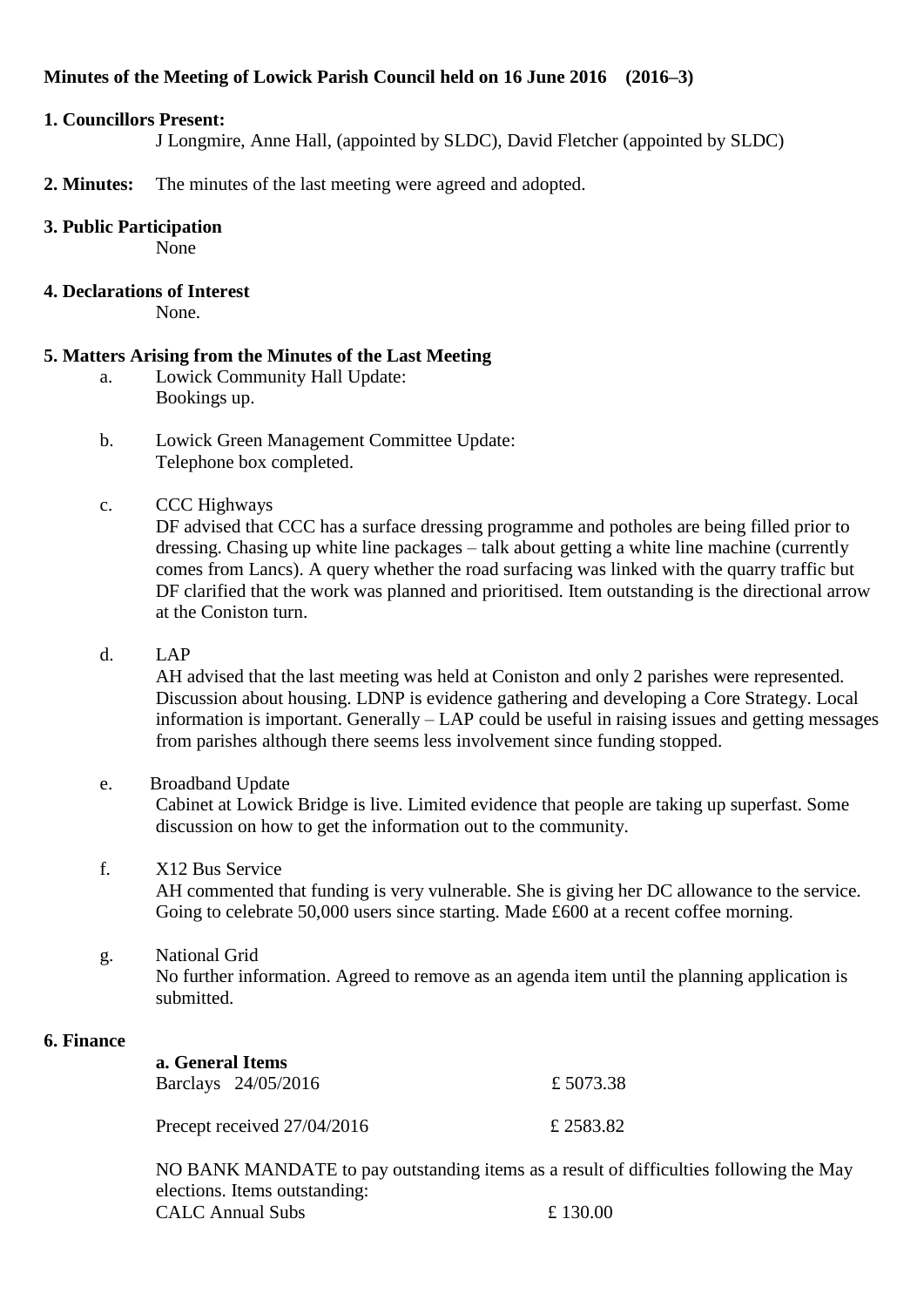# **Minutes of the Meeting of Lowick Parish Council held on 16 June 2016 (2016–3)**

#### **1. Councillors Present:**

J Longmire, Anne Hall, (appointed by SLDC), David Fletcher (appointed by SLDC)

**2. Minutes:** The minutes of the last meeting were agreed and adopted.

#### **3. Public Participation**

None

## **4. Declarations of Interest**

None.

# **5. Matters Arising from the Minutes of the Last Meeting**

- a. Lowick Community Hall Update: Bookings up.
- b. Lowick Green Management Committee Update: Telephone box completed.

## c. CCC Highways

DF advised that CCC has a surface dressing programme and potholes are being filled prior to dressing. Chasing up white line packages – talk about getting a white line machine (currently comes from Lancs). A query whether the road surfacing was linked with the quarry traffic but DF clarified that the work was planned and prioritised. Item outstanding is the directional arrow at the Coniston turn.

d. LAP

AH advised that the last meeting was held at Coniston and only 2 parishes were represented. Discussion about housing. LDNP is evidence gathering and developing a Core Strategy. Local information is important. Generally – LAP could be useful in raising issues and getting messages from parishes although there seems less involvement since funding stopped.

e. Broadband Update

Cabinet at Lowick Bridge is live. Limited evidence that people are taking up superfast. Some discussion on how to get the information out to the community.

# f. X12 Bus Service

AH commented that funding is very vulnerable. She is giving her DC allowance to the service. Going to celebrate 50,000 users since starting. Made £600 at a recent coffee morning.

g. National Grid No further information. Agreed to remove as an agenda item until the planning application is submitted.

#### **6. Finance**

| a. General Items            |                     |           |
|-----------------------------|---------------------|-----------|
|                             | Barclays 24/05/2016 | £5073.38  |
| Precept received 27/04/2016 |                     | £ 2583.82 |

NO BANK MANDATE to pay outstanding items as a result of difficulties following the May elections. Items outstanding:  $CAIC$  Annual Subs  $£ 130.00$